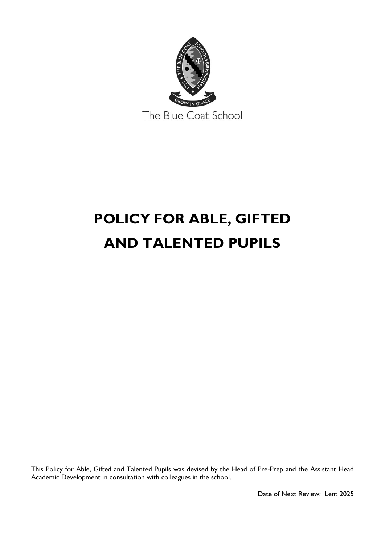

# **POLICY FOR ABLE, GIFTED AND TALENTED PUPILS**

This Policy for Able, Gifted and Talented Pupils was devised by the Head of Pre-Prep and the Assistant Head Academic Development in consultation with colleagues in the school.

Date of Next Review: Lent 2025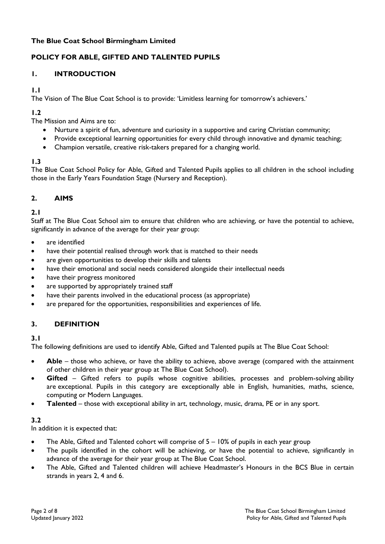## **The Blue Coat School Birmingham Limited**

## **POLICY FOR ABLE, GIFTED AND TALENTED PUPILS**

## **1. INTRODUCTION**

**1.1**

The Vision of The Blue Coat School is to provide: 'Limitless learning for tomorrow's achievers.'

# **1.2**

The Mission and Aims are to:

- Nurture a spirit of fun, adventure and curiosity in a supportive and caring Christian community;
- Provide exceptional learning opportunities for every child through innovative and dynamic teaching;
- Champion versatile, creative risk-takers prepared for a changing world.

## **1.3**

The Blue Coat School Policy for Able, Gifted and Talented Pupils applies to all children in the school including those in the Early Years Foundation Stage (Nursery and Reception).

# **2. AIMS**

**2.1**

Staff at The Blue Coat School aim to ensure that children who are achieving, or have the potential to achieve, significantly in advance of the average for their year group:

- are identified
- have their potential realised through work that is matched to their needs
- are given opportunities to develop their skills and talents
- have their emotional and social needs considered alongside their intellectual needs
- have their progress monitored
- are supported by appropriately trained staff
- have their parents involved in the educational process (as appropriate)
- are prepared for the opportunities, responsibilities and experiences of life.

# **3. DEFINITION**

#### **3.1**

The following definitions are used to identify Able, Gifted and Talented pupils at The Blue Coat School:

- Able those who achieve, or have the ability to achieve, above average (compared with the attainment of other children in their year group at The Blue Coat School).
- **Gifted** Gifted refers to pupils whose cognitive abilities, processes and problem-solving ability are exceptional. Pupils in this category are exceptionally able in English, humanities, maths, science, computing or Modern Languages.
- **Talented** those with exceptional ability in art, technology, music, drama, PE or in any sport.

## **3.2**

In addition it is expected that:

- The Able, Gifted and Talented cohort will comprise of  $5 10\%$  of pupils in each year group
- The pupils identified in the cohort will be achieving, or have the potential to achieve, significantly in advance of the average for their year group at The Blue Coat School.
- The Able, Gifted and Talented children will achieve Headmaster's Honours in the BCS Blue in certain strands in years 2, 4 and 6.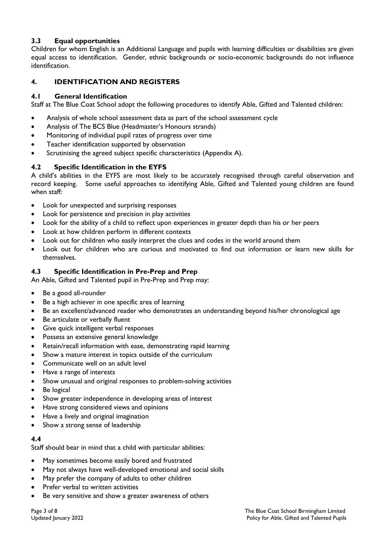## **3.3 Equal opportunities**

Children for whom English is an Additional Language and pupils with learning difficulties or disabilities are given equal access to identification. Gender, ethnic backgrounds or socio-economic backgrounds do not influence identification.

## **4. IDENTIFICATION AND REGISTERS**

#### **4.1 General Identification**

Staff at The Blue Coat School adopt the following procedures to identify Able, Gifted and Talented children:

- Analysis of whole school assessment data as part of the school assessment cycle
- Analysis of The BCS Blue (Headmaster's Honours strands)
- Monitoring of individual pupil rates of progress over time
- Teacher identification supported by observation
- Scrutinising the agreed subject specific characteristics (Appendix A).

#### **4.2 Specific Identification in the EYFS**

A child's abilities in the EYFS are most likely to be accurately recognised through careful observation and record keeping. Some useful approaches to identifying Able, Gifted and Talented young children are found when staff:

- Look for unexpected and surprising responses
- Look for persistence and precision in play activities
- Look for the ability of a child to reflect upon experiences in greater depth than his or her peers
- Look at how children perform in different contexts
- Look out for children who easily interpret the clues and codes in the world around them
- Look out for children who are curious and motivated to find out information or learn new skills for themselves.

#### **4.3 Specific Identification in Pre-Prep and Prep**

An Able, Gifted and Talented pupil in Pre-Prep and Prep may:

- Be a good all-rounder
- Be a high achiever in one specific area of learning
- Be an excellent/advanced reader who demonstrates an understanding beyond his/her chronological age
- Be articulate or verbally fluent
- Give quick intelligent verbal responses
- Possess an extensive general knowledge
- Retain/recall information with ease, demonstrating rapid learning
- Show a mature interest in topics outside of the curriculum
- Communicate well on an adult level
- Have a range of interests
- Show unusual and original responses to problem-solving activities
- Be logical
- Show greater independence in developing areas of interest
- Have strong considered views and opinions
- Have a lively and original imagination
- Show a strong sense of leadership

#### **4.4**

Staff should bear in mind that a child with particular abilities:

- May sometimes become easily bored and frustrated
- May not always have well-developed emotional and social skills
- May prefer the company of adults to other children
- Prefer verbal to written activities
- Be very sensitive and show a greater awareness of others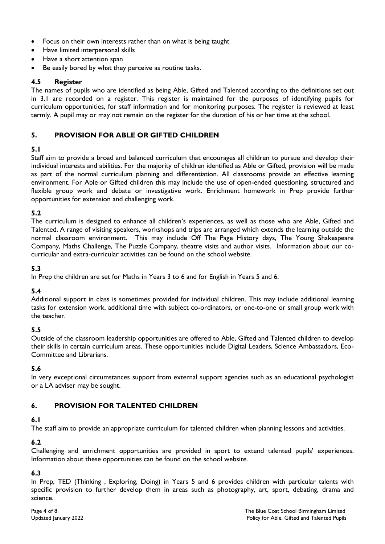- Focus on their own interests rather than on what is being taught
- Have limited interpersonal skills
- Have a short attention span
- Be easily bored by what they perceive as routine tasks.

#### **4.5 Register**

The names of pupils who are identified as being Able, Gifted and Talented according to the definitions set out in 3.1 are recorded on a register. This register is maintained for the purposes of identifying pupils for curriculum opportunities, for staff information and for monitoring purposes. The register is reviewed at least termly. A pupil may or may not remain on the register for the duration of his or her time at the school.

## **5. PROVISION FOR ABLE OR GIFTED CHILDREN**

## **5.1**

Staff aim to provide a broad and balanced curriculum that encourages all children to pursue and develop their individual interests and abilities. For the majority of children identified as Able or Gifted, provision will be made as part of the normal curriculum planning and differentiation. All classrooms provide an effective learning environment. For Able or Gifted children this may include the use of open-ended questioning, structured and flexible group work and debate or investigative work. Enrichment homework in Prep provide further opportunities for extension and challenging work.

## **5.2**

The curriculum is designed to enhance all children's experiences, as well as those who are Able, Gifted and Talented. A range of visiting speakers, workshops and trips are arranged which extends the learning outside the normal classroom environment. This may include Off The Page History days, The Young Shakespeare Company, Maths Challenge, The Puzzle Company, theatre visits and author visits. Information about our cocurricular and extra-curricular activities can be found on the school website.

## **5.3**

In Prep the children are set for Maths in Years 3 to 6 and for English in Years 5 and 6.

## **5.4**

Additional support in class is sometimes provided for individual children. This may include additional learning tasks for extension work, additional time with subject co-ordinators, or one-to-one or small group work with the teacher.

#### **5.5**

Outside of the classroom leadership opportunities are offered to Able, Gifted and Talented children to develop their skills in certain curriculum areas. These opportunities include Digital Leaders, Science Ambassadors, Eco-Committee and Librarians.

#### **5.6**

In very exceptional circumstances support from external support agencies such as an educational psychologist or a LA adviser may be sought.

## **6. PROVISION FOR TALENTED CHILDREN**

#### **6.1**

The staff aim to provide an appropriate curriculum for talented children when planning lessons and activities.

## **6.2**

Challenging and enrichment opportunities are provided in sport to extend talented pupils' experiences. Information about these opportunities can be found on the school website.

#### **6.3**

In Prep, TED (Thinking, Exploring, Doing) in Years 5 and 6 provides children with particular talents with specific provision to further develop them in areas such as photography, art, sport, debating, drama and science.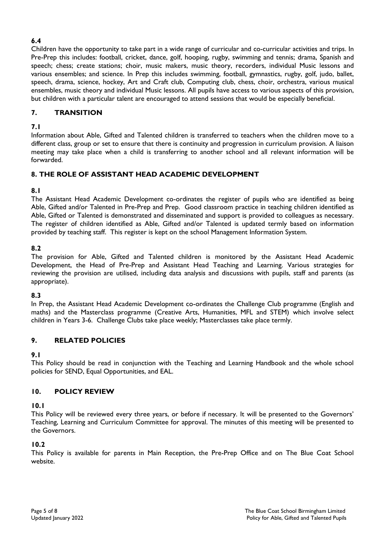## **6.4**

Children have the opportunity to take part in a wide range of curricular and co-curricular activities and trips. In Pre-Prep this includes: football, cricket, dance, golf, hooping, rugby, swimming and tennis; drama, Spanish and speech; chess; create stations; choir, music makers, music theory, recorders, individual Music lessons and various ensembles; and science. In Prep this includes swimming, football, gymnastics, rugby, golf, judo, ballet, speech, drama, science, hockey, Art and Craft club, Computing club, chess, choir, orchestra, various musical ensembles, music theory and individual Music lessons. All pupils have access to various aspects of this provision, but children with a particular talent are encouraged to attend sessions that would be especially beneficial.

## **7. TRANSITION**

#### **7.1**

Information about Able, Gifted and Talented children is transferred to teachers when the children move to a different class, group or set to ensure that there is continuity and progression in curriculum provision. A liaison meeting may take place when a child is transferring to another school and all relevant information will be forwarded.

#### **8. THE ROLE OF ASSISTANT HEAD ACADEMIC DEVELOPMENT**

#### **8.1**

The Assistant Head Academic Development co-ordinates the register of pupils who are identified as being Able, Gifted and/or Talented in Pre-Prep and Prep. Good classroom practice in teaching children identified as Able, Gifted or Talented is demonstrated and disseminated and support is provided to colleagues as necessary. The register of children identified as Able, Gifted and/or Talented is updated termly based on information provided by teaching staff. This register is kept on the school Management Information System.

#### **8.2**

The provision for Able, Gifted and Talented children is monitored by the Assistant Head Academic Development, the Head of Pre-Prep and Assistant Head Teaching and Learning. Various strategies for reviewing the provision are utilised, including data analysis and discussions with pupils, staff and parents (as appropriate).

#### **8.3**

In Prep, the Assistant Head Academic Development co-ordinates the Challenge Club programme (English and maths) and the Masterclass programme (Creative Arts, Humanities, MFL and STEM) which involve select children in Years 3-6. Challenge Clubs take place weekly; Masterclasses take place termly.

## **9. RELATED POLICIES**

#### **9.1**

This Policy should be read in conjunction with the Teaching and Learning Handbook and the whole school policies for SEND, Equal Opportunities, and EAL.

#### **10. POLICY REVIEW**

#### **10.1**

This Policy will be reviewed every three years, or before if necessary. It will be presented to the Governors' Teaching, Learning and Curriculum Committee for approval. The minutes of this meeting will be presented to the Governors.

#### **10.2**

This Policy is available for parents in Main Reception, the Pre-Prep Office and on The Blue Coat School website.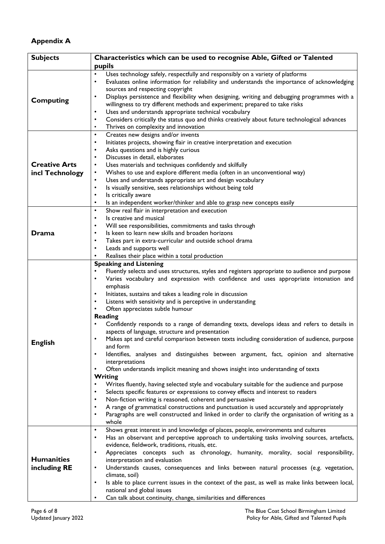# **Appendix A**

| <b>Subjects</b>                         | Characteristics which can be used to recognise Able, Gifted or Talented                                                                                                                                                                                                                                                                                                                                                                                                                                                                                                                                                                                                                                                                                                                                                                                                                                                                                                                                                                                                                                                                                                                                                                                                                                                                                                                                                                                                                                                   |
|-----------------------------------------|---------------------------------------------------------------------------------------------------------------------------------------------------------------------------------------------------------------------------------------------------------------------------------------------------------------------------------------------------------------------------------------------------------------------------------------------------------------------------------------------------------------------------------------------------------------------------------------------------------------------------------------------------------------------------------------------------------------------------------------------------------------------------------------------------------------------------------------------------------------------------------------------------------------------------------------------------------------------------------------------------------------------------------------------------------------------------------------------------------------------------------------------------------------------------------------------------------------------------------------------------------------------------------------------------------------------------------------------------------------------------------------------------------------------------------------------------------------------------------------------------------------------------|
|                                         | pupils                                                                                                                                                                                                                                                                                                                                                                                                                                                                                                                                                                                                                                                                                                                                                                                                                                                                                                                                                                                                                                                                                                                                                                                                                                                                                                                                                                                                                                                                                                                    |
| <b>Computing</b>                        | Uses technology safely, respectfully and responsibly on a variety of platforms<br>٠<br>Evaluates online information for reliability and understands the importance of acknowledging<br>$\bullet$<br>sources and respecting copyright<br>Displays persistence and flexibility when designing, writing and debugging programmes with a<br>$\bullet$<br>willingness to try different methods and experiment; prepared to take risks                                                                                                                                                                                                                                                                                                                                                                                                                                                                                                                                                                                                                                                                                                                                                                                                                                                                                                                                                                                                                                                                                          |
|                                         | Uses and understands appropriate technical vocabulary<br>$\bullet$<br>Considers critically the status quo and thinks creatively about future technological advances<br>$\bullet$<br>Thrives on complexity and innovation<br>$\bullet$                                                                                                                                                                                                                                                                                                                                                                                                                                                                                                                                                                                                                                                                                                                                                                                                                                                                                                                                                                                                                                                                                                                                                                                                                                                                                     |
| <b>Creative Arts</b><br>incl Technology | Creates new designs and/or invents<br>$\bullet$<br>Initiates projects, showing flair in creative interpretation and execution<br>$\bullet$<br>Asks questions and is highly curious<br>$\bullet$<br>Discusses in detail, elaborates<br>$\bullet$<br>Uses materials and techniques confidently and skilfully<br>$\bullet$<br>Wishes to use and explore different media (often in an unconventional way)<br>$\bullet$<br>Uses and understands appropriate art and design vocabulary<br>$\bullet$<br>Is visually sensitive, sees relationships without being told<br>$\bullet$<br>Is critically aware<br>$\bullet$<br>Is an independent worker/thinker and able to grasp new concepts easily<br>$\bullet$                                                                                                                                                                                                                                                                                                                                                                                                                                                                                                                                                                                                                                                                                                                                                                                                                     |
| Drama                                   | Show real flair in interpretation and execution<br>$\bullet$<br>Is creative and musical<br>$\bullet$<br>Will see responsibilities, commitments and tasks through<br>$\bullet$<br>Is keen to learn new skills and broaden horizons<br>$\bullet$<br>Takes part in extra-curricular and outside school drama<br>$\bullet$<br>Leads and supports well<br>$\bullet$<br>Realises their place within a total production                                                                                                                                                                                                                                                                                                                                                                                                                                                                                                                                                                                                                                                                                                                                                                                                                                                                                                                                                                                                                                                                                                          |
| <b>English</b>                          | <b>Speaking and Listening</b><br>Fluently selects and uses structures, styles and registers appropriate to audience and purpose<br>$\bullet$<br>Varies vocabulary and expression with confidence and uses appropriate intonation and<br>$\bullet$<br>emphasis<br>Initiates, sustains and takes a leading role in discussion<br>$\bullet$<br>Listens with sensitivity and is perceptive in understanding<br>$\bullet$<br>Often appreciates subtle humour<br><b>Reading</b><br>Confidently responds to a range of demanding texts, develops ideas and refers to details in<br>$\bullet$<br>aspects of language, structure and presentation<br>Makes apt and careful comparison between texts including consideration of audience, purpose<br>$\bullet$<br>and form<br>Identifies, analyses and distinguishes between argument, fact, opinion and alternative<br>$\bullet$<br>interpretations<br>Often understands implicit meaning and shows insight into understanding of texts<br>$\bullet$<br>Writing<br>Writes fluently, having selected style and vocabulary suitable for the audience and purpose<br>$\bullet$<br>Selects specific features or expressions to convey effects and interest to readers<br>$\bullet$<br>Non-fiction writing is reasoned, coherent and persuasive<br>$\bullet$<br>A range of grammatical constructions and punctuation is used accurately and appropriately<br>٠<br>Paragraphs are well constructed and linked in order to clarify the organisation of writing as a<br>$\bullet$<br>whole |
| <b>Humanities</b><br>including RE       | Shows great interest in and knowledge of places, people, environments and cultures<br>$\bullet$<br>Has an observant and perceptive approach to undertaking tasks involving sources, artefacts,<br>$\bullet$<br>evidence, fieldwork, traditions, rituals, etc.<br>Appreciates concepts such as chronology, humanity, morality, social responsibility,<br>$\bullet$<br>interpretation and evaluation<br>Understands causes, consequences and links between natural processes (e.g. vegetation,<br>$\bullet$<br>climate, soil)<br>Is able to place current issues in the context of the past, as well as make links between local,<br>$\bullet$<br>national and global issues<br>Can talk about continuity, change, similarities and differences<br>$\bullet$                                                                                                                                                                                                                                                                                                                                                                                                                                                                                                                                                                                                                                                                                                                                                                |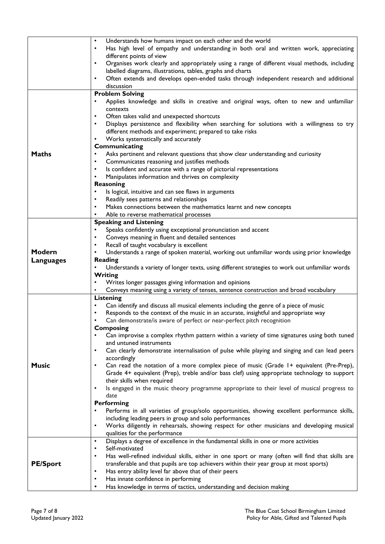|                  | Understands how humans impact on each other and the world<br>$\bullet$                                        |
|------------------|---------------------------------------------------------------------------------------------------------------|
|                  | Has high level of empathy and understanding in both oral and written work, appreciating<br>$\bullet$          |
|                  | different points of view                                                                                      |
|                  | Organises work clearly and appropriately using a range of different visual methods, including<br>$\bullet$    |
|                  | labelled diagrams, illustrations, tables, graphs and charts                                                   |
|                  | Often extends and develops open-ended tasks through independent research and additional<br>٠                  |
|                  | discussion                                                                                                    |
|                  | <b>Problem Solving</b>                                                                                        |
|                  |                                                                                                               |
|                  | Applies knowledge and skills in creative and original ways, often to new and unfamiliar                       |
|                  | contexts                                                                                                      |
|                  | Often takes valid and unexpected shortcuts<br>$\bullet$                                                       |
|                  | Displays persistence and flexibility when searching for solutions with a willingness to try<br>٠              |
|                  | different methods and experiment; prepared to take risks                                                      |
|                  | Works systematically and accurately<br>٠                                                                      |
|                  | Communicating                                                                                                 |
| <b>Maths</b>     | Asks pertinent and relevant questions that show clear understanding and curiosity<br>$\bullet$                |
|                  | Communicates reasoning and justifies methods<br>$\bullet$                                                     |
|                  | Is confident and accurate with a range of pictorial representations<br>$\bullet$                              |
|                  | Manipulates information and thrives on complexity<br>$\bullet$                                                |
|                  | Reasoning                                                                                                     |
|                  |                                                                                                               |
|                  | Is logical, intuitive and can see flaws in arguments<br>٠                                                     |
|                  | Readily sees patterns and relationships<br>٠                                                                  |
|                  | Makes connections between the mathematics learnt and new concepts<br>$\bullet$                                |
|                  | Able to reverse mathematical processes                                                                        |
|                  | <b>Speaking and Listening</b>                                                                                 |
|                  | Speaks confidently using exceptional pronunciation and accent                                                 |
|                  | Conveys meaning in fluent and detailed sentences<br>٠                                                         |
|                  | Recall of taught vocabulary is excellent<br>٠                                                                 |
| Modern           | Understands a range of spoken material, working out unfamiliar words using prior knowledge                    |
| <b>Languages</b> | <b>Reading</b>                                                                                                |
|                  | Understands a variety of longer texts, using different strategies to work out unfamiliar words                |
|                  | Writing                                                                                                       |
|                  |                                                                                                               |
|                  | Writes longer passages giving information and opinions                                                        |
|                  | Conveys meaning using a variety of tenses, sentence construction and broad vocabulary                         |
|                  | <b>Listening</b>                                                                                              |
|                  | Can identify and discuss all musical elements including the genre of a piece of music<br>$\bullet$            |
|                  | Responds to the context of the music in an accurate, insightful and appropriate way<br>٠                      |
|                  | Can demonstrate/is aware of perfect or near-perfect pitch recognition<br>$\bullet$                            |
|                  | <b>Composing</b>                                                                                              |
|                  | Can improvise a complex rhythm pattern within a variety of time signatures using both tuned<br>$\bullet$      |
|                  | and untuned instruments                                                                                       |
|                  | Can clearly demonstrate internalisation of pulse while playing and singing and can lead peers<br>٠            |
|                  | accordingly                                                                                                   |
| <b>Music</b>     | Can read the notation of a more complex piece of music (Grade 1+ equivalent (Pre-Prep),<br>٠                  |
|                  | Grade 4+ equivalent (Prep), treble and/or bass clef) using appropriate technology to support                  |
|                  | their skills when required                                                                                    |
|                  | Is engaged in the music theory programme appropriate to their level of musical progress to<br>$\bullet$       |
|                  | date                                                                                                          |
|                  | <b>Performing</b>                                                                                             |
|                  | $\bullet$                                                                                                     |
|                  | Performs in all varieties of group/solo opportunities, showing excellent performance skills,                  |
|                  | including leading peers in group and solo performances                                                        |
|                  | Works diligently in rehearsals, showing respect for other musicians and developing musical<br>$\bullet$       |
|                  | qualities for the performance                                                                                 |
|                  |                                                                                                               |
|                  | Displays a degree of excellence in the fundamental skills in one or more activities<br>$\bullet$              |
|                  | Self-motivated<br>$\bullet$                                                                                   |
|                  | Has well-refined individual skills, either in one sport or many (often will find that skills are<br>$\bullet$ |
| <b>PE/Sport</b>  | transferable and that pupils are top achievers within their year group at most sports)                        |
|                  | Has entry ability level far above that of their peers<br>$\bullet$                                            |
|                  | Has innate confidence in performing<br>$\bullet$                                                              |